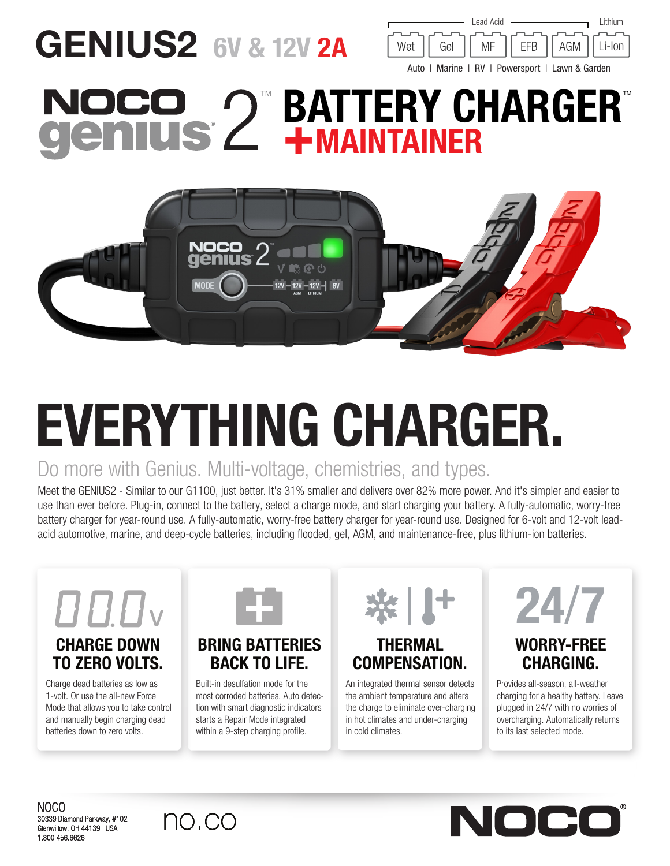## GENIUS2 6V & 12V 2A



## **BATTERY CHARGER®** +MAINTAINER



# EVERYTHING CHARGER.

## Do more with Genius. Multi-voltage, chemistries, and types.

Meet the GENIUS2 - Similar to our G1100, just better. It's 31% smaller and delivers over 82% more power. And it's simpler and easier to use than ever before. Plug-in, connect to the battery, select a charge mode, and start charging your battery. A fully-automatic, worry-free battery charger for year-round use. A fully-automatic, worry-free battery charger for year-round use. Designed for 6-volt and 12-volt leadacid automotive, marine, and deep-cycle batteries, including flooded, gel, AGM, and maintenance-free, plus lithium-ion batteries.



## TO ZERO VOLTS.

Charge dead batteries as low as 1-volt. Or use the all-new Force Mode that allows you to take control and manually begin charging dead batteries down to zero volts.



### BRING BATTERIES BACK TO LIFE.

Built-in desulfation mode for the most corroded batteries. Auto detection with smart diagnostic indicators starts a Repair Mode integrated within a 9-step charging profile.



### THERMAL COMPENSATION.

An integrated thermal sensor detects the ambient temperature and alters the charge to eliminate over-charging in hot climates and under-charging in cold climates.



#### WORRY-FREE CHARGING.

Provides all-season, all-weather charging for a healthy battery. Leave plugged in 24/7 with no worries of overcharging. Automatically returns to its last selected mode.

NOCO 30339 Diamond Parkway, #102 Glenwillow, OH 44139 | USA 1.800.456.6626